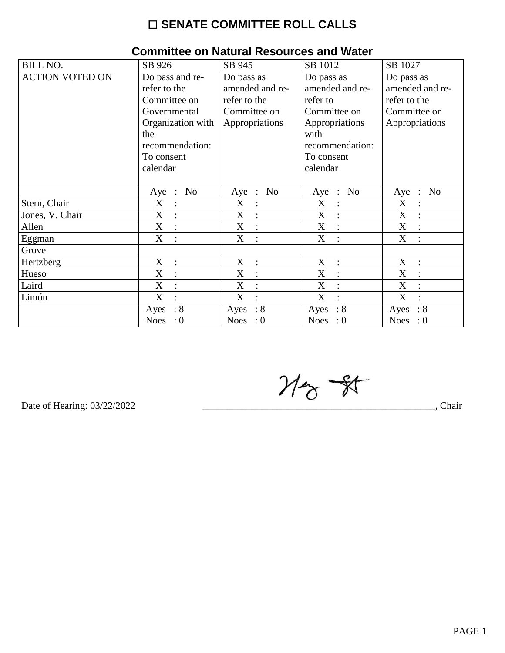## $\square$  SENATE COMMITTEE ROLL CALLS

| <b>BILL NO.</b>        | SB 926                              | SB 945              | SB 1012                   | SB 1027                   |  |  |
|------------------------|-------------------------------------|---------------------|---------------------------|---------------------------|--|--|
| <b>ACTION VOTED ON</b> | Do pass and re-                     | Do pass as          | Do pass as                | Do pass as                |  |  |
|                        | refer to the                        | amended and re-     | amended and re-           | amended and re-           |  |  |
|                        | Committee on                        | refer to the        | refer to                  | refer to the              |  |  |
|                        | Governmental                        | Committee on        | Committee on              | Committee on              |  |  |
|                        | Organization with                   | Appropriations      | Appropriations            | Appropriations            |  |  |
|                        | the                                 |                     | with                      |                           |  |  |
|                        | recommendation:                     |                     | recommendation:           |                           |  |  |
|                        | To consent                          |                     | To consent                |                           |  |  |
|                        | calendar                            |                     | calendar                  |                           |  |  |
|                        |                                     |                     |                           |                           |  |  |
|                        | N <sub>o</sub><br>$Aye$ :           | Aye : No            | No<br>$Aye$ :             | N <sub>o</sub><br>Aye :   |  |  |
| Stern, Chair           | X<br>$\ddot{\cdot}$                 | X<br>$\ddot{\cdot}$ | X<br>$\ddot{\cdot}$       | X                         |  |  |
| Jones, V. Chair        | X<br>$\vdots$                       | X                   | X<br>$\ddot{\cdot}$       | X                         |  |  |
| Allen                  | $X_{\mathcal{E}}$<br>$\mathbb{R}^2$ | X<br>$\ddot{\cdot}$ | X<br>$\sim$ 1 $^{\circ}$  | X                         |  |  |
| Eggman                 | X<br>$\cdot$ .                      | X<br>$\ddot{\cdot}$ | X<br>$\ddot{\phantom{a}}$ | X                         |  |  |
| Grove                  |                                     |                     |                           |                           |  |  |
| Hertzberg              | X<br>$\ddot{\cdot}$                 | X<br>$\ddot{\cdot}$ | X                         | X                         |  |  |
| Hueso                  | X<br>$\ddot{\cdot}$                 | X<br>$\ddot{\cdot}$ | X<br>$\ddot{\cdot}$       | X                         |  |  |
| Laird                  | X<br>$\ddot{\cdot}$                 | X<br>$\ddot{\cdot}$ | X<br>$\ddot{\cdot}$       | X                         |  |  |
| Limón                  | X<br>$\overline{\mathcal{C}}$       | X<br>$\bullet$      | X<br>$\bullet$            | X                         |  |  |
|                        | $\therefore 8$<br>Ayes              | : 8<br>Ayes         | $\therefore$ 8<br>Ayes    | : 8<br>Ayes               |  |  |
|                        | <b>Noes</b><br>$\cdot 0$            | Noes : $0$          | Noes : $0$                | <b>Noes</b><br>$\colon 0$ |  |  |

#### Committee on Natural Resources and Water

 $M_{\odot}$  - 81

Date of Hearing: 03/22/2022

Chair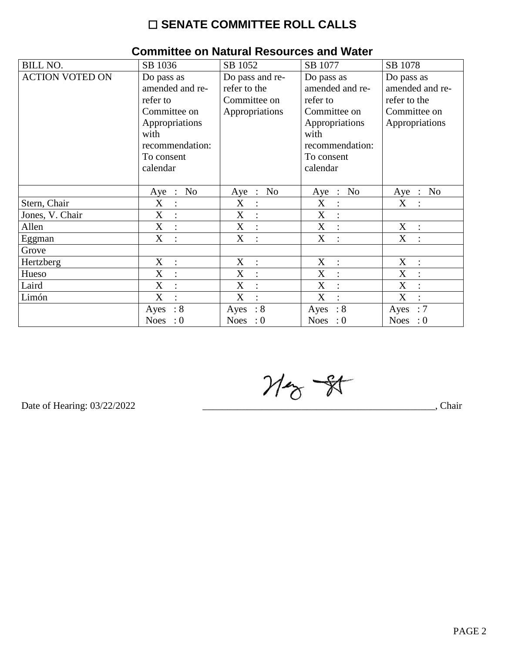## $\square$  SENATE COMMITTEE ROLL CALLS

| <b>BILL NO.</b>        | SB 1036                                           | SB 1052                                     | SB 1077                                     | SB 1078                   |
|------------------------|---------------------------------------------------|---------------------------------------------|---------------------------------------------|---------------------------|
| <b>ACTION VOTED ON</b> | Do pass as                                        | Do pass and re-                             | Do pass as                                  | Do pass as                |
|                        | amended and re-                                   | refer to the                                | amended and re-                             | amended and re-           |
|                        | refer to                                          | Committee on                                | refer to                                    | refer to the              |
|                        | Committee on                                      | Appropriations                              | Committee on                                | Committee on              |
|                        | Appropriations                                    |                                             | Appropriations                              | Appropriations            |
|                        | with                                              |                                             | with                                        |                           |
|                        | recommendation:                                   |                                             | recommendation:                             |                           |
|                        | To consent                                        |                                             | To consent                                  |                           |
|                        | calendar                                          |                                             | calendar                                    |                           |
|                        |                                                   |                                             |                                             |                           |
|                        | N <sub>o</sub><br>$Aye$ :                         | Aye : No                                    | N <sub>0</sub><br>$Aye$ :                   | N <sub>0</sub><br>$Aye$ : |
| Stern, Chair           | X<br>$\ddot{\cdot}$                               | X                                           | X                                           | X                         |
| Jones, V. Chair        | $\boldsymbol{\mathrm{X}}$<br>$\ddot{\phantom{a}}$ | X<br>$\mathbb{C}^2$                         | $\boldsymbol{\mathrm{X}}$<br>$\ddot{\cdot}$ |                           |
| Allen                  | $X_{\mathcal{E}}$<br>$\therefore$                 | X<br>$\mathbb{R}^2$                         | X<br>$\ddot{\cdot}$                         | X<br>$\mathbb{R}^2$       |
| Eggman                 | X<br>$\ddot{\cdot}$                               | X<br>$\cdot$ :                              | X<br>$\ddot{\cdot}$                         | X                         |
| Grove                  |                                                   |                                             |                                             |                           |
| Hertzberg              | X<br>$\ddot{\cdot}$                               | X<br>$\mathbb{C}$                           | X                                           | X                         |
| Hueso                  | X<br>$\ddot{\cdot}$                               | X<br>$\ddot{\phantom{1}}$ :                 | X<br>$\ddot{\cdot}$                         | X                         |
| Laird                  | X<br>$\ddot{\cdot}$                               | $\boldsymbol{\mathrm{X}}$<br>$\ddot{\cdot}$ | X                                           | X                         |
| Limón                  | X<br>$\ddot{\cdot}$                               | X<br>$\cdot$                                | X<br>$\bullet$                              | X                         |
|                        | : 8<br>Ayes                                       | : 8<br>Ayes                                 | $\therefore 8$<br>Ayes                      | :7<br>Ayes                |
|                        | <b>Noes</b><br>: 0                                | Noes : $0$                                  | <b>Noes</b><br>$\cdot 0$                    | <b>Noes</b><br>$\cdot 0$  |

#### Committee on Natural Resources and Water

 $M_{\odot}$  -  $N$ 

Date of Hearing: 03/22/2022

Chair